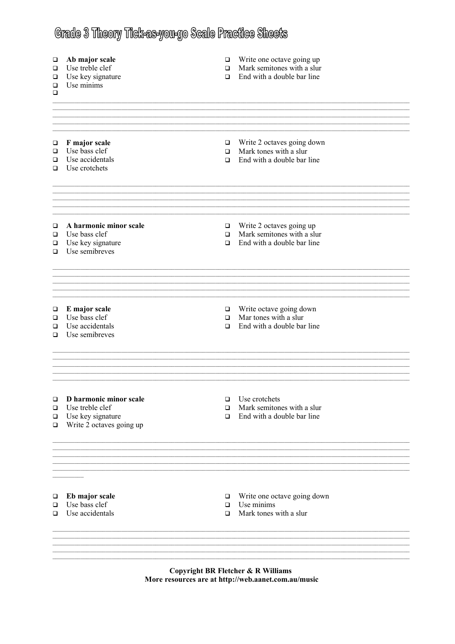## Grade 3 Theory Tick-as-you-go Scale Practice Sheets

| Ab major scale<br>Use treble clef<br>Use key signature<br>Use minims                       | $\Box$<br>$\Box$<br>$\Box$ | Write one octave going up<br>Mark semitones with a slur<br>End with a double bar line |  |
|--------------------------------------------------------------------------------------------|----------------------------|---------------------------------------------------------------------------------------|--|
| F major scale<br>Use bass clef<br>Use accidentals<br>Use crotchets                         | ▫<br>$\Box$<br>$\Box$      | Write 2 octaves going down<br>Mark tones with a slur<br>End with a double bar line    |  |
| A harmonic minor scale<br>Use bass clef<br>Use key signature<br>Use semibreves             | $\Box$<br>$\Box$<br>$\Box$ | Write 2 octaves going up<br>Mark semitones with a slur<br>End with a double bar line  |  |
| E major scale<br>Use bass clef<br>Use accidentals<br>Use semibreves                        | $\Box$<br>$\Box$<br>$\Box$ | Write octave going down<br>Mar tones with a slur<br>End with a double bar line        |  |
| D harmonic minor scale<br>Use treble clef<br>Use key signature<br>Write 2 octaves going up | $\Box$<br>$\Box$<br>$\Box$ | Use crotchets<br>Mark semitones with a slur<br>End with a double bar line             |  |
| Eb major scale<br>Use bass clef<br>Use accidentals                                         | $\Box$<br>$\Box$<br>$\Box$ | Write one octave going down<br>Use minims<br>Mark tones with a slur                   |  |
|                                                                                            |                            |                                                                                       |  |

Copyright BR Fletcher & R Williams More resources are at http://web.aanet.com.au/music